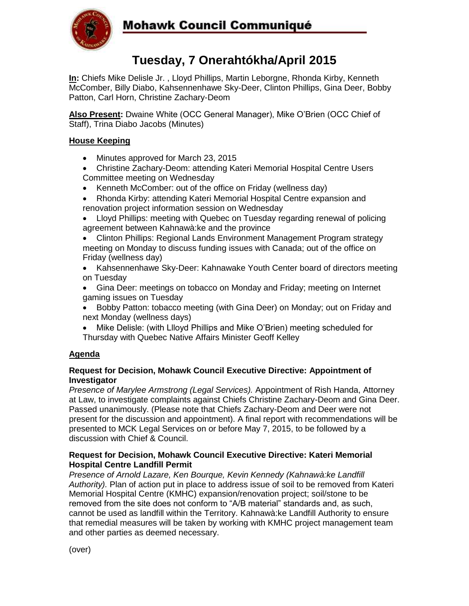

## **Mohawk Council Communiqué**

# **Tuesday, 7 Onerahtókha/April 2015**

**In:** Chiefs Mike Delisle Jr. , Lloyd Phillips, Martin Leborgne, Rhonda Kirby, Kenneth McComber, Billy Diabo, Kahsennenhawe Sky-Deer, Clinton Phillips, Gina Deer, Bobby Patton, Carl Horn, Christine Zachary-Deom

**Also Present:** Dwaine White (OCC General Manager), Mike O'Brien (OCC Chief of Staff), Trina Diabo Jacobs (Minutes)

### **House Keeping**

- Minutes approved for March 23, 2015
- Christine Zachary-Deom: attending Kateri Memorial Hospital Centre Users Committee meeting on Wednesday
- Kenneth McComber: out of the office on Friday (wellness day)
- Rhonda Kirby: attending Kateri Memorial Hospital Centre expansion and renovation project information session on Wednesday
- Lloyd Phillips: meeting with Quebec on Tuesday regarding renewal of policing agreement between Kahnawà:ke and the province
- Clinton Phillips: Regional Lands Environment Management Program strategy meeting on Monday to discuss funding issues with Canada; out of the office on Friday (wellness day)
- Kahsennenhawe Sky-Deer: Kahnawake Youth Center board of directors meeting on Tuesday
- Gina Deer: meetings on tobacco on Monday and Friday; meeting on Internet gaming issues on Tuesday
- Bobby Patton: tobacco meeting (with Gina Deer) on Monday; out on Friday and next Monday (wellness days)
- Mike Delisle: (with Llloyd Phillips and Mike O'Brien) meeting scheduled for Thursday with Quebec Native Affairs Minister Geoff Kelley

#### **Agenda**

#### **Request for Decision, Mohawk Council Executive Directive: Appointment of Investigator**

*Presence of Marylee Armstrong (Legal Services).* Appointment of Rish Handa, Attorney at Law, to investigate complaints against Chiefs Christine Zachary-Deom and Gina Deer. Passed unanimously. (Please note that Chiefs Zachary-Deom and Deer were not present for the discussion and appointment). A final report with recommendations will be presented to MCK Legal Services on or before May 7, 2015, to be followed by a discussion with Chief & Council.

#### **Request for Decision, Mohawk Council Executive Directive: Kateri Memorial Hospital Centre Landfill Permit**

*Presence of Arnold Lazare, Ken Bourque, Kevin Kennedy (Kahnawà:ke Landfill Authority).* Plan of action put in place to address issue of soil to be removed from Kateri Memorial Hospital Centre (KMHC) expansion/renovation project; soil/stone to be removed from the site does not conform to "A/B material" standards and, as such, cannot be used as landfill within the Territory. Kahnawà:ke Landfill Authority to ensure that remedial measures will be taken by working with KMHC project management team and other parties as deemed necessary.